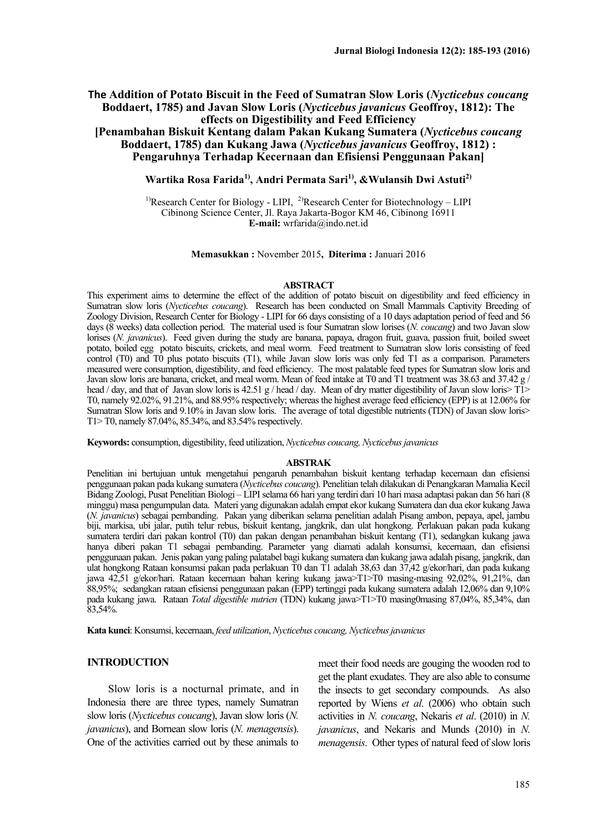## **The Addition of Potato Biscuit in the Feed of Sumatran Slow Loris (***Nycticebus coucang* **Boddaert, 1785) and Javan Slow Loris (***Nycticebus javanicus* **Geoffroy, 1812): The effects on Digestibility and Feed Efficiency**

**[Penambahan Biskuit Kentang dalam Pakan Kukang Sumatera (***Nycticebus coucang* **Boddaert, 1785) dan Kukang Jawa (***Nycticebus javanicus* **Geoffroy, 1812) : Pengaruhnya Terhadap Kecernaan dan Efisiensi Penggunaan Pakan]**

# **Wartika Rosa Farida1), Andri Permata Sari1), &Wulansih Dwi Astuti2)**

<sup>1)</sup>Research Center for Biology - LIPI, <sup>2)</sup>Research Center for Biotechnology – LIPI Cibinong Science Center, Jl. Raya Jakarta-Bogor KM 46, Cibinong 16911 **E-mail:** [wrfarida@indo.net.id](mailto:wrfarida@indo.net.id)

#### **Memasukkan :** November 2015**, Diterima :** Januari 2016

#### **ABSTRACT**

This experiment aims to determine the effect of the addition of potato biscuit on digestibility and feed efficiency in Sumatran slow loris (*Nycticebus coucang*). Research has been conducted on Small Mammals Captivity Breeding of Zoology Division, Research Center for Biology - LIPI for 66 days consisting of a 10 days adaptation period of feed and 56 days (8 weeks) data collection period. The material used is four Sumatran slow lorises (*N. coucang*) and two Javan slow lorises (*N. javanicus*). Feed given during the study are banana, papaya, dragon fruit, guava, passion fruit, boiled sweet potato, boiled egg potato biscuits, crickets, and meal worm. Feed treatment to Sumatran slow loris consisting of feed control (T0) and T0 plus potato biscuits (T1), while Javan slow loris was only fed T1 as a comparison. Parameters measured were consumption, digestibility, and feed efficiency. The most palatable feed types for Sumatran slow loris and Javan slow loris are banana, cricket, and meal worm. Mean of feed intake at T0 and T1 treatment was 38.63 and 37.42 g / head / day, and that of Javan slow loris is 42.51 g / head / day. Mean of dry matter digestibility of Javan slow loris> T1> T0, namely 92.02%, 91.21%, and 88.95% respectively; whereas the highest average feed efficiency (EPP) is at 12.06% for Sumatran Slow loris and 9.10% in Javan slow loris. The average of total digestible nutrients (TDN) of Javan slow loris> T1> T0, namely 87.04%, 85.34%, and 83.54% respectively.

**Keywords:** consumption, digestibility, feed utilization, *Nycticebus coucang, Nycticebusjavanicus*

#### **ABSTRAK**

Penelitian ini bertujuan untuk mengetahui pengaruh penambahan biskuit kentang terhadap kecernaan dan efisiensi penggunaan pakan pada kukang sumatera (*Nycticebus coucang*). Penelitian telah dilakukan di Penangkaran Mamalia Kecil Bidang Zoologi, Pusat Penelitian Biologi – LIPI selama 66 hari yang terdiri dari 10 hari masa adaptasi pakan dan 56 hari (8 minggu) masa pengumpulan data. Materi yang digunakan adalah empat ekor kukang Sumatera dan dua ekor kukang Jawa (*N. javanicus*) sebagai pembanding. Pakan yang diberikan selama penelitian adalah Pisang ambon, pepaya, apel, jambu biji, markisa, ubi jalar, putih telur rebus, biskuit kentang, jangkrik, dan ulat hongkong. Perlakuan pakan pada kukang sumatera terdiri dari pakan kontrol (T0) dan pakan dengan penambahan biskuit kentang (T1), sedangkan kukang jawa hanya diberi pakan T1 sebagai pembanding. Parameter yang diamati adalah konsumsi, kecernaan, dan efisiensi penggunaan pakan. Jenis pakan yang paling palatabel bagi kukang sumatera dan kukang jawa adalah pisang, jangkrik, dan ulat hongkong Rataan konsumsi pakan pada perlakuan T0 dan T1 adalah 38,63 dan 37,42 g/ekor/hari, dan pada kukang jawa 42,51 g/ekor/hari. Rataan kecernaan bahan kering kukang jawa>T1>T0 masing-masing 92,02%, 91,21%, dan 88,95%; sedangkan rataan efisiensi penggunaan pakan (EPP) tertinggi pada kukang sumatera adalah 12,06% dan 9,10% pada kukang jawa. Rataan *Total digestible nutrien* (TDN) kukang jawa>T1>T0 masing0masing 87,04%, 85,34%, dan 83,54%.

**Kata kunci**: Konsumsi, kecernaan, *feed utilization*, *Nycticebus coucang, Nycticebus javanicus*

### **INTRODUCTION**

Slow loris is a nocturnal primate, and in Indonesia there are three types, namely Sumatran slow loris (*Nycticebus coucang*), Javan slow loris (*N. javanicus*), and Bornean slow loris (*N. menagensis*). One of the activities carried out by these animals to

meet their food needs are gouging the wooden rod to get the plant exudates. They are also able to consume the insects to get secondary compounds. As also reported by Wiens *et al*. (2006) who obtain such activities in *N. coucang*, Nekaris *et al*. (2010) in *N. javanicus*, and Nekaris and Munds (2010) in *N. menagensis*. Other types of natural feed of slow loris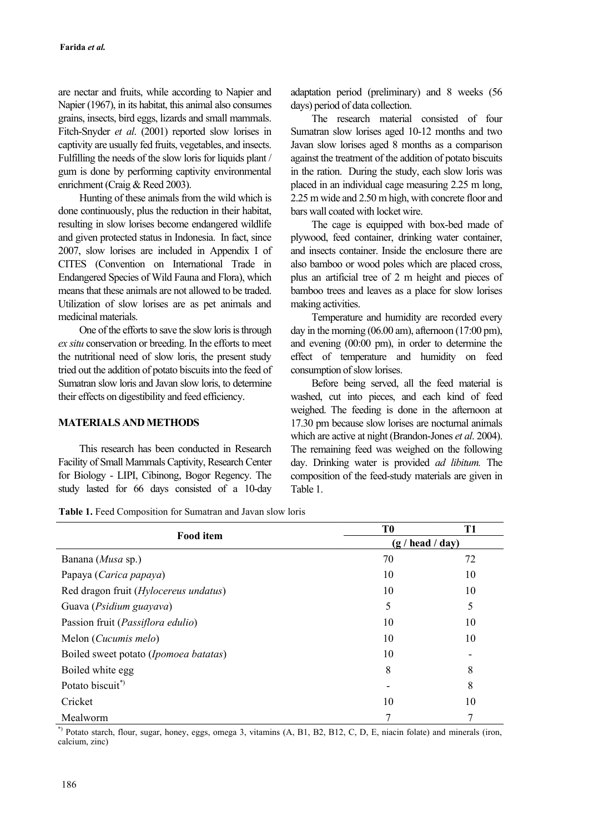are nectar and fruits, while according to Napier and Napier (1967), in its habitat, this animal also consumes grains, insects, bird eggs, lizards and small mammals. Fitch-Snyder *et al*. (2001) reported slow lorises in captivity are usually fed fruits, vegetables, and insects. Fulfilling the needs of the slow loris for liquids plant / gum is done by performing captivity environmental enrichment (Craig & Reed 2003).

Hunting of these animals from the wild which is done continuously, plus the reduction in their habitat, resulting in slow lorises become endangered wildlife and given protected status in Indonesia. In fact, since 2007, slow lorises are included in Appendix I of CITES (Convention on International Trade in Endangered Species of Wild Fauna and Flora), which means that these animals are not allowed to be traded. Utilization of slow lorises are as pet animals and medicinal materials.

One of the efforts to save the slow loris is through *ex situ* conservation or breeding. In the efforts to meet the nutritional need of slow loris, the present study tried out the addition of potato biscuits into the feed of Sumatran slow loris and Javan slow loris, to determine their effects on digestibility and feed efficiency.

### **MATERIALS AND METHODS**

This research has been conducted in Research Facility of Small Mammals Captivity, Research Center for Biology - LIPI, Cibinong, Bogor Regency. The study lasted for 66 days consisted of a 10-day adaptation period (preliminary) and 8 weeks (56 days) period of data collection.

The research material consisted of four Sumatran slow lorises aged 10-12 months and two Javan slow lorises aged 8 months as a comparison against the treatment of the addition of potato biscuits in the ration. During the study, each slow loris was placed in an individual cage measuring 2.25 m long, 2.25 m wide and 2.50 m high, with concrete floor and bars wall coated with locket wire.

The cage is equipped with box-bed made of plywood, feed container, drinking water container, and insects container. Inside the enclosure there are also bamboo or wood poles which are placed cross, plus an artificial tree of 2 m height and pieces of bamboo trees and leaves as a place for slow lorises making activities.

Temperature and humidity are recorded every day in the morning (06.00 am), afternoon (17:00 pm), and evening (00:00 pm), in order to determine the effect of temperature and humidity on feed consumption of slow lorises.

Before being served, all the feed material is washed, cut into pieces, and each kind of feed weighed. The feeding is done in the afternoon at 17.30 pm because slow lorises are nocturnal animals which are active at night (Brandon-Jones *et al*. 2004). The remaining feed was weighed on the following day. Drinking water is provided *ad libitum.* The composition of the feed-study materials are given in Table 1.

|  |  |  | <b>Table 1.</b> Feed Composition for Sumatran and Javan slow loris |
|--|--|--|--------------------------------------------------------------------|
|--|--|--|--------------------------------------------------------------------|

|                                       | T <sub>0</sub>   | T1 |  |  |
|---------------------------------------|------------------|----|--|--|
| <b>Food</b> item                      | (g / head / day) |    |  |  |
| Banana (Musa sp.)                     | 70               | 72 |  |  |
| Papaya (Carica papaya)                | 10               | 10 |  |  |
| Red dragon fruit (Hylocereus undatus) | 10               | 10 |  |  |
| Guava (Psidium guayava)               | 5                | 5  |  |  |
| Passion fruit (Passiflora edulio)     | 10               | 10 |  |  |
| Melon ( <i>Cucumis melo</i> )         | 10               | 10 |  |  |
| Boiled sweet potato (Ipomoea batatas) | 10               |    |  |  |
| Boiled white egg                      | 8                | 8  |  |  |
| Potato biscuit <sup>*</sup>           |                  | 8  |  |  |
| Cricket                               | 10               | 10 |  |  |
| Mealworm                              | 7                |    |  |  |

\*) Potato starch, flour, sugar, honey, eggs, omega 3, vitamins (A, B1, B2, B12, C, D, E, niacin folate) and minerals (iron, calcium, zinc)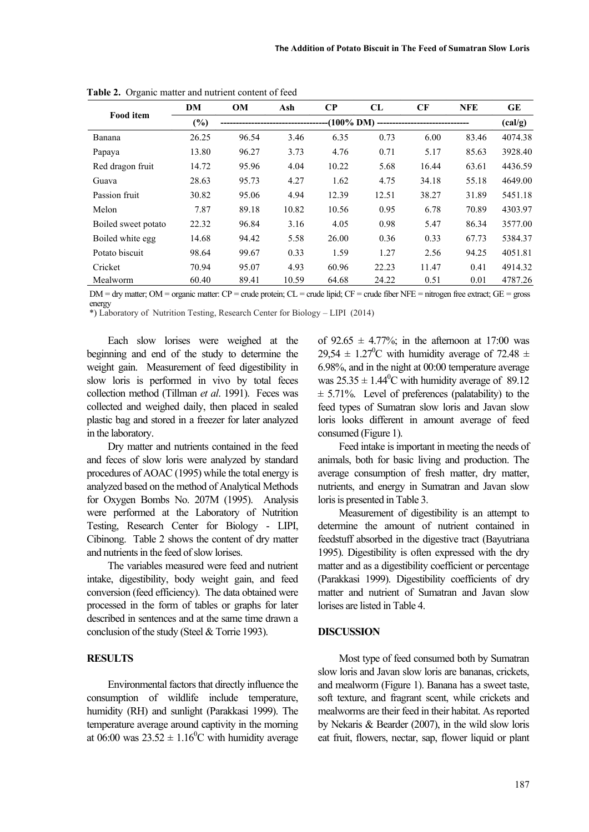| <b>Food</b> item    | DM     | <b>OM</b> | Ash                                                                          | $\bf CP$ | CL    | CF    | <b>NFE</b> | <b>GE</b> |  |  |
|---------------------|--------|-----------|------------------------------------------------------------------------------|----------|-------|-------|------------|-----------|--|--|
|                     | $(\%)$ |           | ------------------------------------(100% DM) ------------------------------ |          |       |       |            |           |  |  |
| Banana              | 26.25  | 96.54     | 3.46                                                                         | 6.35     | 0.73  | 6.00  | 83.46      | 4074.38   |  |  |
| Papaya              | 13.80  | 96.27     | 3.73                                                                         | 4.76     | 0.71  | 5.17  | 85.63      | 3928.40   |  |  |
| Red dragon fruit    | 14.72  | 95.96     | 4.04                                                                         | 10.22    | 5.68  | 16.44 | 63.61      | 4436.59   |  |  |
| Guava               | 28.63  | 95.73     | 4.27                                                                         | 1.62     | 4.75  | 34.18 | 55.18      | 4649.00   |  |  |
| Passion fruit       | 30.82  | 95.06     | 4.94                                                                         | 12.39    | 12.51 | 38.27 | 31.89      | 5451.18   |  |  |
| Melon               | 7.87   | 89.18     | 10.82                                                                        | 10.56    | 0.95  | 6.78  | 70.89      | 4303.97   |  |  |
| Boiled sweet potato | 22.32  | 96.84     | 3.16                                                                         | 4.05     | 0.98  | 5.47  | 86.34      | 3577.00   |  |  |
| Boiled white egg    | 14.68  | 94.42     | 5.58                                                                         | 26.00    | 0.36  | 0.33  | 67.73      | 5384.37   |  |  |
| Potato biscuit      | 98.64  | 99.67     | 0.33                                                                         | 1.59     | 1.27  | 2.56  | 94.25      | 4051.81   |  |  |
| Cricket             | 70.94  | 95.07     | 4.93                                                                         | 60.96    | 22.23 | 11.47 | 0.41       | 4914.32   |  |  |
| Mealworm            | 60.40  | 89.41     | 10.59                                                                        | 64.68    | 24.22 | 0.51  | 0.01       | 4787.26   |  |  |

**Table 2.** Organic matter and nutrient content of feed

 $DM = dry$  matter;  $OM =$  organic matter:  $CP =$  crude protein;  $CL =$  crude lipid;  $CF =$  crude fiber NFE = nitrogen free extract;  $GE =$  gross energy

\*) Laboratory of Nutrition Testing, Research Center for Biology – LIPI (2014)

Each slow lorises were weighed at the beginning and end of the study to determine the weight gain. Measurement of feed digestibility in slow loris is performed in vivo by total feces collection method (Tillman *et al*. 1991). Feces was collected and weighed daily, then placed in sealed plastic bag and stored in a freezer for later analyzed in the laboratory.

Dry matter and nutrients contained in the feed and feces of slow loris were analyzed by standard procedures of AOAC (1995) while the total energy is analyzed based on the method of Analytical Methods for Oxygen Bombs No. 207M (1995). Analysis were performed at the Laboratory of Nutrition Testing, Research Center for Biology - LIPI, Cibinong. Table 2 shows the content of dry matter and nutrients in the feed of slow lorises.

The variables measured were feed and nutrient intake, digestibility, body weight gain, and feed conversion (feed efficiency). The data obtained were processed in the form of tables or graphs for later described in sentences and at the same time drawn a conclusion of the study (Steel & Torrie 1993).

# **RESULTS**

Environmental factors that directly influence the consumption of wildlife include temperature, humidity (RH) and sunlight (Parakkasi 1999). The temperature average around captivity in the morning at 06:00 was  $23.52 \pm 1.16^{\circ}$ C with humidity average of  $92.65 \pm 4.77\%$ ; in the afternoon at 17:00 was 29,54  $\pm$  1.27<sup>0</sup>C with humidity average of 72.48  $\pm$ 6.98%, and in the night at 00:00 temperature average was  $25.35 \pm 1.44^{\circ}$ C with humidity average of 89.12  $\pm$  5.71%. Level of preferences (palatability) to the feed types of Sumatran slow loris and Javan slow loris looks different in amount average of feed consumed (Figure 1).

Feed intake is important in meeting the needs of animals, both for basic living and production. The average consumption of fresh matter, dry matter, nutrients, and energy in Sumatran and Javan slow loris is presented in Table 3.

Measurement of digestibility is an attempt to determine the amount of nutrient contained in feedstuff absorbed in the digestive tract (Bayutriana 1995). Digestibility is often expressed with the dry matter and as a digestibility coefficient or percentage (Parakkasi 1999). Digestibility coefficients of dry matter and nutrient of Sumatran and Javan slow lorises are listed in Table 4.

#### **DISCUSSION**

Most type of feed consumed both by Sumatran slow loris and Javan slow loris are bananas, crickets, and mealworm (Figure 1). Banana has a sweet taste, soft texture, and fragrant scent, while crickets and mealworms are their feed in their habitat. As reported by Nekaris & Bearder (2007), in the wild slow loris eat fruit, flowers, nectar, sap, flower liquid or plant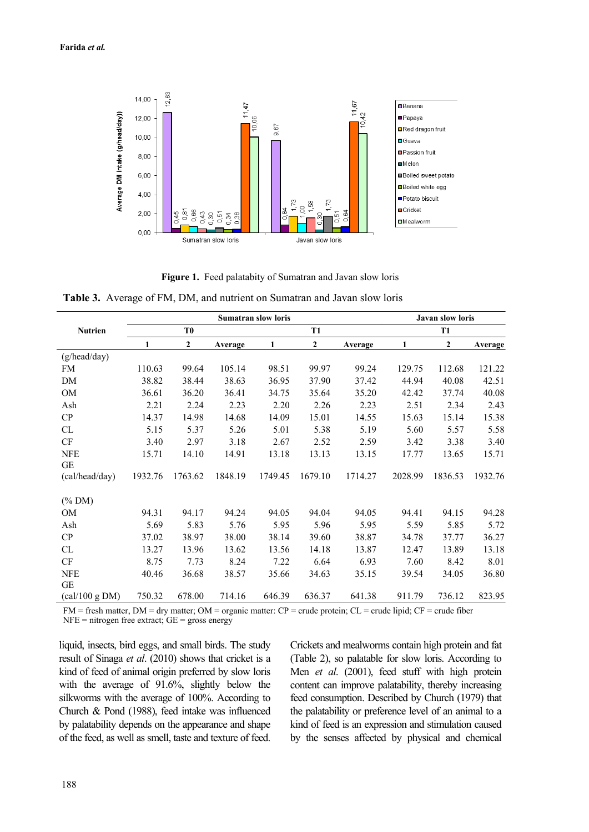

**Figure 1.** Feed palatabity of Sumatran and Javan slow loris

**Table 3.** Average of FM, DM, and nutrient on Sumatran and Javan slow loris

|                             |         |                |         | <b>Javan slow loris</b> |                |         |         |                |         |
|-----------------------------|---------|----------------|---------|-------------------------|----------------|---------|---------|----------------|---------|
| <b>Nutrien</b>              |         | T <sub>0</sub> |         |                         | <b>T1</b>      |         |         | <b>T1</b>      |         |
|                             | 1       | $\overline{2}$ | Average | 1                       | $\overline{2}$ | Average | 1       | $\overline{2}$ | Average |
| (g/head/day)                |         |                |         |                         |                |         |         |                |         |
| <b>FM</b>                   | 110.63  | 99.64          | 105.14  | 98.51                   | 99.97          | 99.24   | 129.75  | 112.68         | 121.22  |
| DM                          | 38.82   | 38.44          | 38.63   | 36.95                   | 37.90          | 37.42   | 44.94   | 40.08          | 42.51   |
| OM                          | 36.61   | 36.20          | 36.41   | 34.75                   | 35.64          | 35.20   | 42.42   | 37.74          | 40.08   |
| Ash                         | 2.21    | 2.24           | 2.23    | 2.20                    | 2.26           | 2.23    | 2.51    | 2.34           | 2.43    |
| CP                          | 14.37   | 14.98          | 14.68   | 14.09                   | 15.01          | 14.55   | 15.63   | 15.14          | 15.38   |
| CL                          | 5.15    | 5.37           | 5.26    | 5.01                    | 5.38           | 5.19    | 5.60    | 5.57           | 5.58    |
| $\mathrm{CF}$               | 3.40    | 2.97           | 3.18    | 2.67                    | 2.52           | 2.59    | 3.42    | 3.38           | 3.40    |
| <b>NFE</b>                  | 15.71   | 14.10          | 14.91   | 13.18                   | 13.13          | 13.15   | 17.77   | 13.65          | 15.71   |
| GE                          |         |                |         |                         |                |         |         |                |         |
| (cal/head/day)              | 1932.76 | 1763.62        | 1848.19 | 1749.45                 | 1679.10        | 1714.27 | 2028.99 | 1836.53        | 1932.76 |
| $(% \mathcal{O}(N))$ (% DM) |         |                |         |                         |                |         |         |                |         |
| OM                          | 94.31   | 94.17          | 94.24   | 94.05                   | 94.04          | 94.05   | 94.41   | 94.15          | 94.28   |
| Ash                         | 5.69    | 5.83           | 5.76    | 5.95                    | 5.96           | 5.95    | 5.59    | 5.85           | 5.72    |
| CP                          | 37.02   | 38.97          | 38.00   | 38.14                   | 39.60          | 38.87   | 34.78   | 37.77          | 36.27   |
| CL                          | 13.27   | 13.96          | 13.62   | 13.56                   | 14.18          | 13.87   | 12.47   | 13.89          | 13.18   |
| $\mathrm{CF}$               | 8.75    | 7.73           | 8.24    | 7.22                    | 6.64           | 6.93    | 7.60    | 8.42           | 8.01    |
| <b>NFE</b>                  | 40.46   | 36.68          | 38.57   | 35.66                   | 34.63          | 35.15   | 39.54   | 34.05          | 36.80   |
| GE                          |         |                |         |                         |                |         |         |                |         |
| (cal/100 g DM)              | 750.32  | 678.00         | 714.16  | 646.39                  | 636.37         | 641.38  | 911.79  | 736.12         | 823.95  |

 $FM = fresh$  matter,  $DM = dry$  matter;  $OM = organic$  matter:  $CP = crude$  protein;  $CL = crude$  lipid;  $CF = crude$  fiber  $NFE = nitrogen free extract; GE = gross energy$ 

liquid, insects, bird eggs, and small birds. The study result of Sinaga *et al*. (2010) shows that cricket is a kind of feed of animal origin preferred by slow loris with the average of 91.6%, slightly below the silkworms with the average of 100%. According to Church & Pond (1988), feed intake was influenced by palatability depends on the appearance and shape of the feed, as well as smell, taste and texture of feed.

Crickets and mealworms contain high protein and fat (Table 2), so palatable for slow loris. According to Men *et al*. (2001), feed stuff with high protein content can improve palatability, thereby increasing feed consumption. Described by Church (1979) that the palatability or preference level of an animal to a kind of feed is an expression and stimulation caused by the senses affected by physical and chemical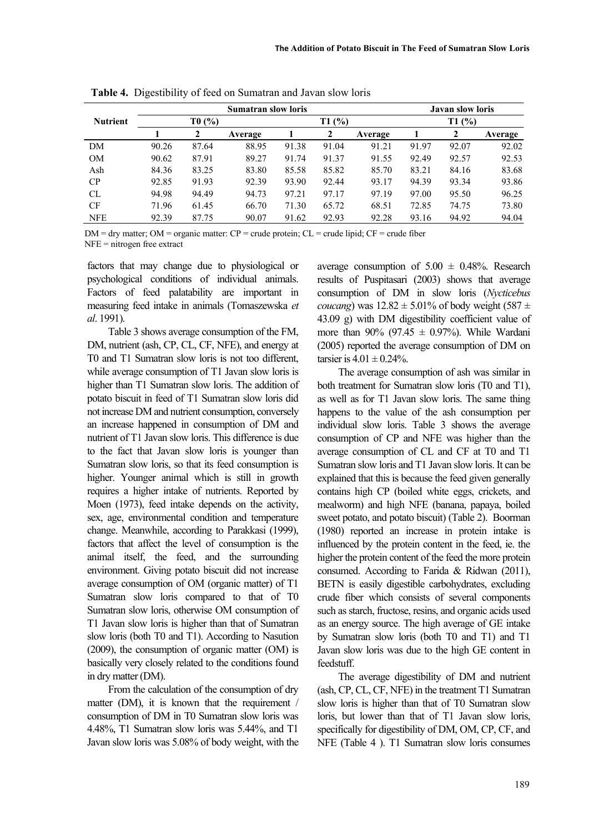|                 | <b>Sumatran slow loris</b> |       |         |       |       |         |       | <b>Javan slow loris</b> |         |  |  |
|-----------------|----------------------------|-------|---------|-------|-------|---------|-------|-------------------------|---------|--|--|
| <b>Nutrient</b> | T0(%)                      |       |         |       | T1(%) |         | T1(%) |                         |         |  |  |
|                 |                            |       | Average |       | 2     | Average |       |                         | Average |  |  |
| DM              | 90.26                      | 87.64 | 88.95   | 91.38 | 91.04 | 91.21   | 91.97 | 92.07                   | 92.02   |  |  |
| <b>OM</b>       | 90.62                      | 87.91 | 89.27   | 91.74 | 91.37 | 91.55   | 92.49 | 92.57                   | 92.53   |  |  |
| Ash             | 84.36                      | 83.25 | 83.80   | 85.58 | 85.82 | 85.70   | 83.21 | 84.16                   | 83.68   |  |  |
| CP              | 92.85                      | 91.93 | 92.39   | 93.90 | 92.44 | 93.17   | 94.39 | 93.34                   | 93.86   |  |  |
| <b>CL</b>       | 94.98                      | 94.49 | 94.73   | 97.21 | 97.17 | 97.19   | 97.00 | 95.50                   | 96.25   |  |  |
| <b>CF</b>       | 71.96                      | 61.45 | 66.70   | 71.30 | 65.72 | 68.51   | 72.85 | 74.75                   | 73.80   |  |  |
| <b>NFE</b>      | 92.39                      | 87.75 | 90.07   | 91.62 | 92.93 | 92.28   | 93.16 | 94.92                   | 94.04   |  |  |

**Table 4.** Digestibility of feed on Sumatran and Javan slow loris

 $DM = dry$  matter;  $OM = organic$  matter:  $CP = crude$  protein;  $CL = crude$  lipid;  $CF = crude$  fiber NFE = nitrogen free extract

factors that may change due to physiological or psychological conditions of individual animals. Factors of feed palatability are important in measuring feed intake in animals (Tomaszewska *et al*. 1991).

Table 3 shows average consumption of the FM, DM, nutrient (ash, CP, CL, CF, NFE), and energy at T0 and T1 Sumatran slow loris is not too different, while average consumption of T1 Javan slow loris is higher than T1 Sumatran slow loris. The addition of potato biscuit in feed of T1 Sumatran slow loris did not increase DM and nutrient consumption, conversely an increase happened in consumption of DM and nutrient of T1 Javan slow loris. This difference is due to the fact that Javan slow loris is younger than Sumatran slow loris, so that its feed consumption is higher. Younger animal which is still in growth requires a higher intake of nutrients. Reported by Moen (1973), feed intake depends on the activity, sex, age, environmental condition and temperature change. Meanwhile, according to Parakkasi (1999), factors that affect the level of consumption is the animal itself, the feed, and the surrounding environment. Giving potato biscuit did not increase average consumption of OM (organic matter) of T1 Sumatran slow loris compared to that of T0 Sumatran slow loris, otherwise OM consumption of T1 Javan slow loris is higher than that of Sumatran slow loris (both T0 and T1). According to Nasution (2009), the consumption of organic matter (OM) is basically very closely related to the conditions found in dry matter (DM).

From the calculation of the consumption of dry matter (DM), it is known that the requirement / consumption of DM in T0 Sumatran slow loris was 4.48%, T1 Sumatran slow loris was 5.44%, and T1 Javan slow loris was 5.08% of body weight, with the average consumption of  $5.00 \pm 0.48\%$ . Research results of Puspitasari (2003) shows that average consumption of DM in slow loris (*Nycticebus coucang*) was  $12.82 \pm 5.01\%$  of body weight (587  $\pm$ 43.09 g) with DM digestibility coefficient value of more than 90% (97.45  $\pm$  0.97%). While Wardani (2005) reported the average consumption of DM on tarsier is  $4.01 \pm 0.24\%$ .

The average consumption of ash was similar in both treatment for Sumatran slow loris (T0 and T1), as well as for T1 Javan slow loris. The same thing happens to the value of the ash consumption per individual slow loris. Table 3 shows the average consumption of CP and NFE was higher than the average consumption of CL and CF at T0 and T1 Sumatran slow loris and T1 Javan slow loris. It can be explained that this is because the feed given generally contains high CP (boiled white eggs, crickets, and mealworm) and high NFE (banana, papaya, boiled sweet potato, and potato biscuit) (Table 2). Boorman (1980) reported an increase in protein intake is influenced by the protein content in the feed, ie. the higher the protein content of the feed the more protein consumed. According to Farida & Ridwan (2011), BETN is easily digestible carbohydrates, excluding crude fiber which consists of several components such as starch, fructose, resins, and organic acids used as an energy source. The high average of GE intake by Sumatran slow loris (both T0 and T1) and T1 Javan slow loris was due to the high GE content in feedstuff.

The average digestibility of DM and nutrient (ash, CP, CL, CF, NFE) in the treatment T1 Sumatran slow loris is higher than that of T0 Sumatran slow loris, but lower than that of T1 Javan slow loris, specifically for digestibility of DM, OM, CP, CF, and NFE (Table 4 ). T1 Sumatran slow loris consumes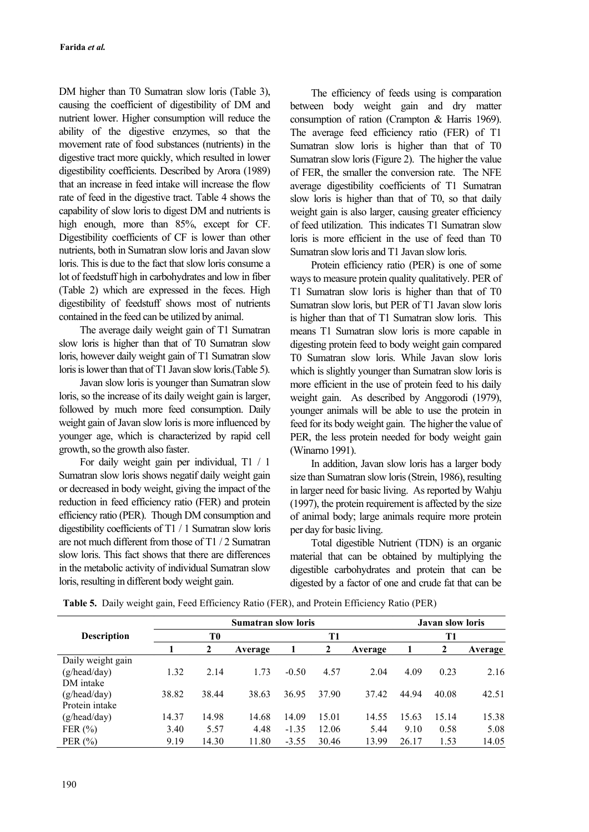DM higher than T0 Sumatran slow loris (Table 3), causing the coefficient of digestibility of DM and nutrient lower. Higher consumption will reduce the ability of the digestive enzymes, so that the movement rate of food substances (nutrients) in the digestive tract more quickly, which resulted in lower digestibility coefficients. Described by Arora (1989) that an increase in feed intake will increase the flow rate of feed in the digestive tract. Table 4 shows the capability of slow loris to digest DM and nutrients is high enough, more than 85%, except for CF. Digestibility coefficients of CF is lower than other nutrients, both in Sumatran slow loris and Javan slow loris. This is due to the fact that slow loris consume a lot of feedstuff high in carbohydrates and low in fiber (Table 2) which are expressed in the feces. High digestibility of feedstuff shows most of nutrients contained in the feed can be utilized by animal.

The average daily weight gain of T1 Sumatran slow loris is higher than that of T0 Sumatran slow loris, however daily weight gain of T1 Sumatran slow loris is lower than that of T1 Javan slow loris.(Table 5).

Javan slow loris is younger than Sumatran slow loris, so the increase of its daily weight gain is larger, followed by much more feed consumption. Daily weight gain of Javan slow loris is more influenced by younger age, which is characterized by rapid cell growth, so the growth also faster.

For daily weight gain per individual, T1 / 1 Sumatran slow loris shows negatif daily weight gain or decreased in body weight, giving the impact of the reduction in feed efficiency ratio (FER) and protein efficiency ratio (PER). Though DM consumption and digestibility coefficients of T1 / 1 Sumatran slow loris are not much different from those of T1 / 2 Sumatran slow loris. This fact shows that there are differences in the metabolic activity of individual Sumatran slow loris, resulting in different body weight gain.

The efficiency of feeds using is comparation between body weight gain and dry matter consumption of ration (Crampton & Harris 1969). The average feed efficiency ratio (FER) of T1 Sumatran slow loris is higher than that of T0 Sumatran slow loris (Figure 2). The higher the value of FER, the smaller the conversion rate. The NFE average digestibility coefficients of T1 Sumatran slow loris is higher than that of T0, so that daily weight gain is also larger, causing greater efficiency of feed utilization. This indicates T1 Sumatran slow loris is more efficient in the use of feed than T0 Sumatran slow loris and T1 Javan slow loris.

Protein efficiency ratio (PER) is one of some ways to measure protein quality qualitatively. PER of T1 Sumatran slow loris is higher than that of T0 Sumatran slow loris, but PER of T1 Javan slow loris is higher than that of T1 Sumatran slow loris. This means T1 Sumatran slow loris is more capable in digesting protein feed to body weight gain compared T0 Sumatran slow loris. While Javan slow loris which is slightly younger than Sumatran slow loris is more efficient in the use of protein feed to his daily weight gain. As described by Anggorodi (1979), younger animals will be able to use the protein in feed for its body weight gain. The higher the value of PER, the less protein needed for body weight gain (Winarno 1991).

In addition, Javan slow loris has a larger body size than Sumatran slow loris (Strein, 1986), resulting in larger need for basic living. As reported by Wahju (1997), the protein requirement is affected by the size of animal body; large animals require more protein per day for basic living.

Total digestible Nutrient (TDN) is an organic material that can be obtained by multiplying the digestible carbohydrates and protein that can be digested by a factor of one and crude fat that can be

|                    |       |       |         | <b>Javan slow loris</b> |       |         |       |       |         |  |
|--------------------|-------|-------|---------|-------------------------|-------|---------|-------|-------|---------|--|
| <b>Description</b> | T0    |       |         |                         | T1    |         |       | T1    |         |  |
|                    |       | 2     | Average |                         | 2     | Average |       | 2     | Average |  |
| Daily weight gain  |       |       |         |                         |       |         |       |       |         |  |
| (g/head/day)       | 1.32  | 2.14  | 1.73    | $-0.50$                 | 4.57  | 2.04    | 4.09  | 0.23  | 2.16    |  |
| DM intake          |       |       |         |                         |       |         |       |       |         |  |
| (g/head/day)       | 38.82 | 38.44 | 38.63   | 36.95                   | 37.90 | 37.42   | 44.94 | 40.08 | 42.51   |  |
| Protein intake     |       |       |         |                         |       |         |       |       |         |  |
| (g/head/day)       | 14.37 | 14.98 | 14.68   | 14.09                   | 15.01 | 14.55   | 15.63 | 15.14 | 15.38   |  |
| FER $(\% )$        | 3.40  | 5.57  | 4.48    | $-1.35$                 | 12.06 | 5.44    | 9.10  | 0.58  | 5.08    |  |
| PER $(\% )$        | 9.19  | 14.30 | 11.80   | $-3.55$                 | 30.46 | 13.99   | 26.17 | 1.53  | 14.05   |  |

**Table 5.** Daily weight gain, Feed Efficiency Ratio (FER), and Protein Efficiency Ratio (PER)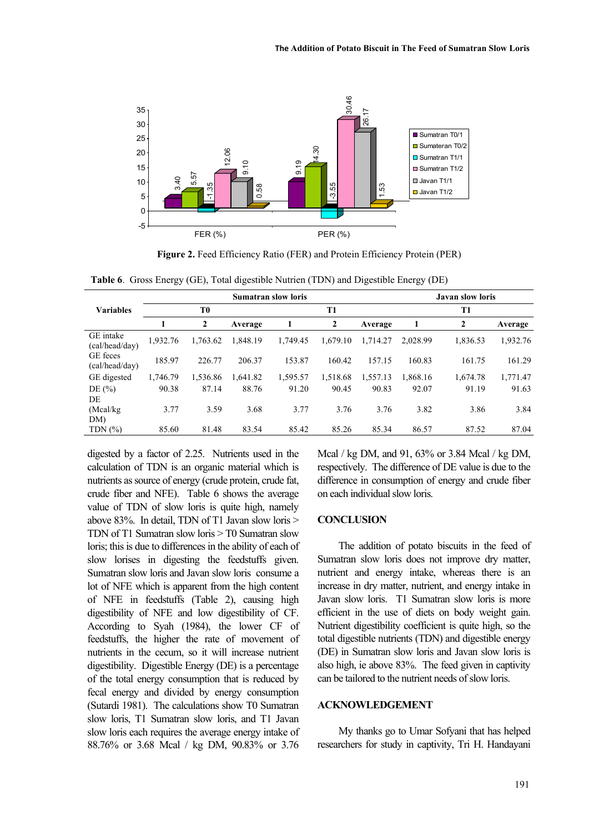

**Figure 2.** Feed Efficiency Ratio (FER) and Protein Efficiency Protein (PER)

**Table 6**. Gross Energy (GE), Total digestible Nutrien (TDN) and Digestible Energy (DE)

|                             | <b>Sumatran slow loris</b> |          |          |          |              |          |          | <b>Javan slow loris</b> |          |  |  |
|-----------------------------|----------------------------|----------|----------|----------|--------------|----------|----------|-------------------------|----------|--|--|
| <b>Variables</b>            |                            | T0       |          |          | T1           |          |          | T1                      |          |  |  |
|                             |                            | 2        | Average  | 1        | $\mathbf{2}$ | Average  | 1        | 2                       | Average  |  |  |
| GE intake<br>(cal/head/day) | 1,932.76                   | 1,763.62 | 1.848.19 | 1.749.45 | 1.679.10     | 1.714.27 | 2.028.99 | 1,836.53                | 1,932.76 |  |  |
| GE feces<br>(cal/head/day)  | 185.97                     | 226.77   | 206.37   | 153.87   | 160.42       | 157.15   | 160.83   | 161.75                  | 161.29   |  |  |
| GE digested                 | 1,746.79                   | 1,536.86 | 1.641.82 | 1,595.57 | 1,518.68     | 1,557.13 | 1.868.16 | 1.674.78                | 1,771.47 |  |  |
| DE $(\% )$                  | 90.38                      | 87.14    | 88.76    | 91.20    | 90.45        | 90.83    | 92.07    | 91.19                   | 91.63    |  |  |
| DE                          |                            |          |          |          |              |          |          |                         |          |  |  |
| (Mcal/kg)                   | 3.77                       | 3.59     | 3.68     | 3.77     | 3.76         | 3.76     | 3.82     | 3.86                    | 3.84     |  |  |
| DM)                         |                            |          |          |          |              |          |          |                         |          |  |  |
| TDN $(%)$                   | 85.60                      | 81.48    | 83.54    | 85.42    | 85.26        | 85.34    | 86.57    | 87.52                   | 87.04    |  |  |

digested by a factor of 2.25. Nutrients used in the calculation of TDN is an organic material which is nutrients as source of energy (crude protein, crude fat, crude fiber and NFE). Table 6 shows the average value of TDN of slow loris is quite high, namely above 83%. In detail, TDN of T1 Javan slow loris > TDN of T1 Sumatran slow loris > T0 Sumatran slow loris; this is due to differences in the ability of each of slow lorises in digesting the feedstuffs given. Sumatran slow loris and Javan slow loris consume a lot of NFE which is apparent from the high content of NFE in feedstuffs (Table 2), causing high digestibility of NFE and low digestibility of CF. According to Syah (1984), the lower CF of feedstuffs, the higher the rate of movement of nutrients in the cecum, so it will increase nutrient digestibility. Digestible Energy (DE) is a percentage of the total energy consumption that is reduced by fecal energy and divided by energy consumption (Sutardi 1981). The calculations show T0 Sumatran slow loris, T1 Sumatran slow loris, and T1 Javan slow loris each requires the average energy intake of 88.76% or 3.68 Mcal / kg DM, 90.83% or 3.76

Mcal / kg DM, and 91, 63% or 3.84 Mcal / kg DM, respectively. The difference of DE value is due to the difference in consumption of energy and crude fiber on each individual slow loris.

#### **CONCLUSION**

The addition of potato biscuits in the feed of Sumatran slow loris does not improve dry matter, nutrient and energy intake, whereas there is an increase in dry matter, nutrient, and energy intake in Javan slow loris. T1 Sumatran slow loris is more efficient in the use of diets on body weight gain. Nutrient digestibility coefficient is quite high, so the total digestible nutrients (TDN) and digestible energy (DE) in Sumatran slow loris and Javan slow loris is also high, ie above 83%. The feed given in captivity can be tailored to the nutrient needs of slow loris.

### **ACKNOWLEDGEMENT**

My thanks go to Umar Sofyani that has helped researchers for study in captivity, Tri H. Handayani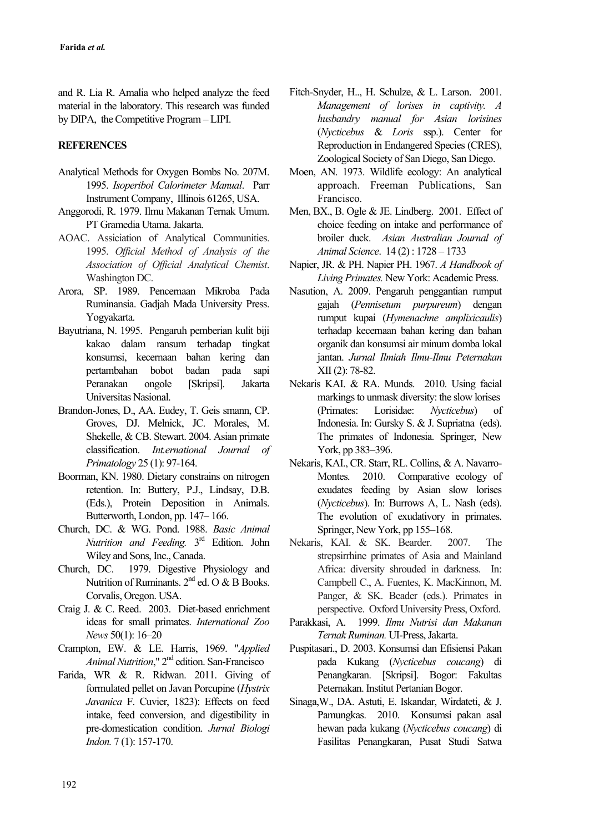and R. Lia R. Amalia who helped analyze the feed material in the laboratory. This research was funded by DIPA, the Competitive Program – LIPI.

## **REFERENCES**

- Analytical Methods for Oxygen Bombs No. 207M. 1995. *Isoperibol Calorimeter Manual*. Parr Instrument Company, Illinois 61265, USA.
- Anggorodi, R. 1979. Ilmu Makanan Ternak Umum. PT Gramedia Utama. Jakarta.
- AOAC. Assiciation of Analytical Communities. 1995. *Official Method of Analysis of the Association of Official Analytical Chemist*. Washington DC.
- Arora, SP. 1989. Pencernaan Mikroba Pada Ruminansia. Gadjah Mada University Press. Yogyakarta.
- Bayutriana, N. 1995. Pengaruh pemberian kulit biji kakao dalam ransum terhadap tingkat konsumsi, kecernaan bahan kering dan pertambahan bobot badan pada sapi Peranakan ongole [Skripsi]. Jakarta Universitas Nasional.
- Brandon-Jones, D., AA. Eudey, T. Geis smann, CP. Groves, DJ. Melnick, JC. Morales, M. Shekelle, & CB. Stewart. 2004. Asian primate classification. *Int.ernational Journal of Primatology* 25 (1): 97-164.
- Boorman, KN. 1980. Dietary constrains on nitrogen retention. In: Buttery, P.J., Lindsay, D.B. (Eds.), Protein Deposition in Animals. Butterworth, London, pp. 147– 166.
- Church, DC. & WG. Pond. 1988. *Basic Animal*  Nutrition and Feeding. 3<sup>rd</sup> Edition. John Wiley and Sons, Inc., Canada.
- Church, DC. 1979. Digestive Physiology and Nutrition of Ruminants. 2<sup>nd</sup> ed. O & B Books. Corvalis, Oregon. USA.
- Craig J. & C. Reed. 2003. Diet-based enrichment ideas for small primates. *International Zoo News* 50(1): 16–20
- Crampton, EW. & LE. Harris, 1969. "*Applied Animal Nutrition*," 2nd edition. San-Francisco
- Farida, WR & R. Ridwan. 2011. Giving of formulated pellet on Javan Porcupine (*Hystrix Javanica* F. Cuvier, 1823): Effects on feed intake, feed conversion, and digestibility in pre-domestication condition. *Jurnal Biologi Indon.* 7 (1): 157-170.
- Fitch-Snyder, H.., H. Schulze, & L. Larson. 2001. *Management of lorises in captivity. A husbandry manual for Asian lorisines* (*Nycticebus* & *Loris* ssp.). Center for Reproduction in Endangered Species (CRES), Zoological Society of San Diego, San Diego.
- Moen, AN. 1973. Wildlife ecology: An analytical approach. Freeman Publications, San Francisco.
- Men, BX., B. Ogle & JE. Lindberg. 2001. Effect of choice feeding on intake and performance of broiler duck. *Asian Australian Journal of Animal Science*. 14 (2) : 1728 – 1733
- Napier, JR. & PH. Napier PH. 1967. *A Handbook of Living Primates.* New York: Academic Press.
- Nasution, A. 2009. Pengaruh penggantian rumput gajah (*Pennisetum purpureum*) dengan rumput kupai (*Hymenachne amplixicaulis*) terhadap kecernaan bahan kering dan bahan organik dan konsumsi air minum domba lokal jantan. *Jurnal Ilmiah Ilmu-Ilmu Peternakan* XII (2): 78-82.
- Nekaris KAI. & RA. Munds. 2010. Using facial markings to unmask diversity: the slow lorises (Primates: Lorisidae: *Nycticebus*) of Indonesia. In: Gursky S. & J. Supriatna (eds). The primates of Indonesia. Springer, New York, pp 383–396.
- Nekaris, KAI., CR. Starr, RL. Collins, & A. Navarro-Montes. 2010. Comparative ecology of exudates feeding by Asian slow lorises (*Nycticebus*). In: Burrows A, L. Nash (eds). The evolution of exudativory in primates. Springer, New York, pp 155–168.
- Nekaris, KAI. & SK. Bearder. 2007. The strepsirrhine primates of Asia and Mainland Africa: diversity shrouded in darkness. In: Campbell C., A. Fuentes, K. MacKinnon, M. Panger, & SK. Beader (eds.). Primates in perspective. Oxford University Press, Oxford.
- Parakkasi, A. 1999. *Ilmu Nutrisi dan Makanan Ternak Ruminan.* UI-Press, Jakarta.
- Puspitasari., D. 2003. Konsumsi dan Efisiensi Pakan pada Kukang (*Nycticebus coucang*) di Penangkaran. [Skripsi]. Bogor: Fakultas Peternakan. Institut Pertanian Bogor.
- Sinaga,W., DA. Astuti, E. Iskandar, Wirdateti, & J. Pamungkas. 2010. Konsumsi pakan asal hewan pada kukang (*Nycticebus coucang*) di Fasilitas Penangkaran, Pusat Studi Satwa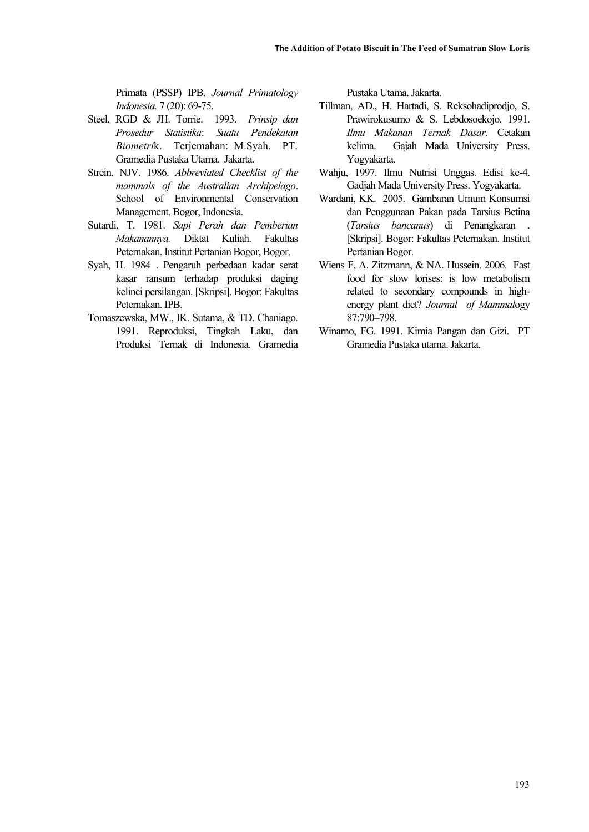Primata (PSSP) IPB. *Journal Primatology Indonesia.* 7 (20): 69-75.

- Steel, RGD & JH. Torrie. 1993. *Prinsip dan Prosedur Statistika*: *Suatu Pendekatan Biometri*k. Terjemahan: M.Syah. PT. Gramedia Pustaka Utama. Jakarta.
- Strein, NJV. 1986. *Abbreviated Checklist of the mammals of the Australian Archipelago*. School of Environmental Conservation Management. Bogor, Indonesia.
- Sutardi, T. 1981. *Sapi Perah dan Pemberian Makanannya.* Diktat Kuliah. Fakultas Peternakan. Institut Pertanian Bogor, Bogor.
- Syah, H. 1984 . Pengaruh perbedaan kadar serat kasar ransum terhadap produksi daging kelinci persilangan. [Skripsi]. Bogor: Fakultas Peternakan. IPB.
- Tomaszewska, MW., IK. Sutama, & TD. Chaniago. 1991. Reproduksi, Tingkah Laku, dan Produksi Ternak di Indonesia. Gramedia

Pustaka Utama. Jakarta.

- Tillman, AD., H. Hartadi, S. Reksohadiprodjo, S. Prawirokusumo & S. Lebdosoekojo. 1991. *Ilmu Makanan Ternak Dasar*. Cetakan kelima. Gajah Mada University Press. Yogyakarta.
- Wahju, 1997. Ilmu Nutrisi Unggas. Edisi ke-4. Gadjah Mada University Press. Yogyakarta.
- Wardani, KK. 2005. Gambaran Umum Konsumsi dan Penggunaan Pakan pada Tarsius Betina (*Tarsius bancanus*) di Penangkaran . [Skripsi]. Bogor: Fakultas Peternakan. Institut Pertanian Bogor.
- Wiens F, A. Zitzmann, & NA. Hussein. 2006. Fast food for slow lorises: is low metabolism related to secondary compounds in highenergy plant diet? *Journal of Mammal*ogy 87:790–798.
- Winarno, FG. 1991. Kimia Pangan dan Gizi. PT Gramedia Pustaka utama. Jakarta.